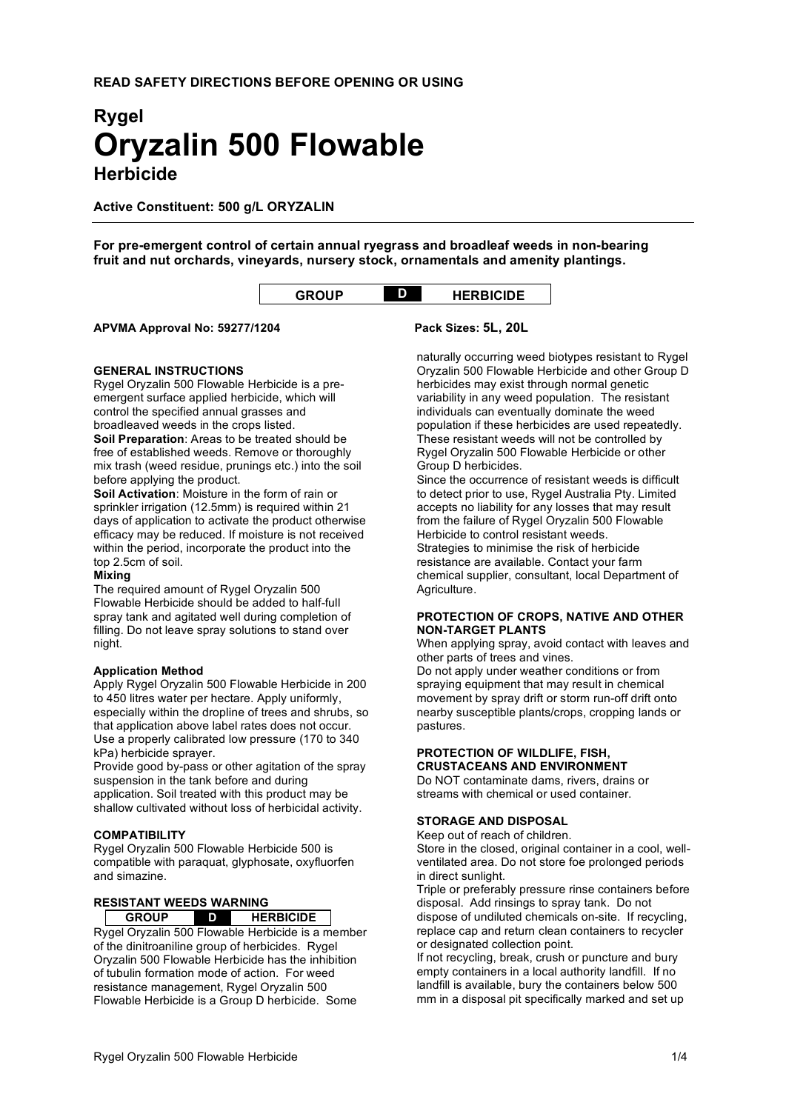# **Rygel Oryzalin 500 Flowable Herbicide**

**Active Constituent: 500 g/L ORYZALIN**

**For pre-emergent control of certain annual ryegrass and broadleaf weeds in non-bearing fruit and nut orchards, vineyards, nursery stock, ornamentals and amenity plantings.**

| <b>GROUP</b> |  | <b>HERBICIDE</b> |
|--------------|--|------------------|
|--------------|--|------------------|

# **APVMA Approval No: 59277/1204 Pack Sizes: 5L, 20L**

#### **GENERAL INSTRUCTIONS**

Rygel Oryzalin 500 Flowable Herbicide is a preemergent surface applied herbicide, which will control the specified annual grasses and broadleaved weeds in the crops listed. **Soil Preparation**: Areas to be treated should be free of established weeds. Remove or thoroughly mix trash (weed residue, prunings etc.) into the soil before applying the product.

**Soil Activation**: Moisture in the form of rain or sprinkler irrigation (12.5mm) is required within 21 days of application to activate the product otherwise efficacy may be reduced. If moisture is not received within the period, incorporate the product into the top 2.5cm of soil.

#### **Mixing**

The required amount of Rygel Oryzalin 500 Flowable Herbicide should be added to half-full spray tank and agitated well during completion of filling. Do not leave spray solutions to stand over night.

#### **Application Method**

Apply Rygel Oryzalin 500 Flowable Herbicide in 200 to 450 litres water per hectare. Apply uniformly, especially within the dropline of trees and shrubs, so that application above label rates does not occur. Use a properly calibrated low pressure (170 to 340 kPa) herbicide sprayer.

Provide good by-pass or other agitation of the spray suspension in the tank before and during application. Soil treated with this product may be shallow cultivated without loss of herbicidal activity.

# **COMPATIBILITY**

Rygel Oryzalin 500 Flowable Herbicide 500 is compatible with paraquat, glyphosate, oxyfluorfen and simazine.

#### **RESISTANT WEEDS WARNING**

**GROUP D HERBICIDE** Rygel Oryzalin 500 Flowable Herbicide is a member of the dinitroaniline group of herbicides. Rygel Oryzalin 500 Flowable Herbicide has the inhibition of tubulin formation mode of action. For weed resistance management, Rygel Oryzalin 500 Flowable Herbicide is a Group D herbicide. Some

naturally occurring weed biotypes resistant to Rygel Oryzalin 500 Flowable Herbicide and other Group D herbicides may exist through normal genetic variability in any weed population. The resistant individuals can eventually dominate the weed population if these herbicides are used repeatedly. These resistant weeds will not be controlled by Rygel Oryzalin 500 Flowable Herbicide or other Group D herbicides.

Since the occurrence of resistant weeds is difficult to detect prior to use, Rygel Australia Pty. Limited accepts no liability for any losses that may result from the failure of Rygel Oryzalin 500 Flowable Herbicide to control resistant weeds. Strategies to minimise the risk of herbicide resistance are available. Contact your farm chemical supplier, consultant, local Department of Agriculture.

# **PROTECTION OF CROPS, NATIVE AND OTHER NON-TARGET PLANTS**

When applying spray, avoid contact with leaves and other parts of trees and vines.

Do not apply under weather conditions or from spraying equipment that may result in chemical movement by spray drift or storm run-off drift onto nearby susceptible plants/crops, cropping lands or pastures.

# **PROTECTION OF WILDLIFE, FISH, CRUSTACEANS AND ENVIRONMENT**

Do NOT contaminate dams, rivers, drains or streams with chemical or used container.

#### **STORAGE AND DISPOSAL**

Keep out of reach of children.

Store in the closed, original container in a cool, wellventilated area. Do not store foe prolonged periods in direct sunlight.

Triple or preferably pressure rinse containers before disposal. Add rinsings to spray tank. Do not dispose of undiluted chemicals on-site. If recycling, replace cap and return clean containers to recycler or designated collection point.

If not recycling, break, crush or puncture and bury empty containers in a local authority landfill. If no landfill is available, bury the containers below 500 mm in a disposal pit specifically marked and set up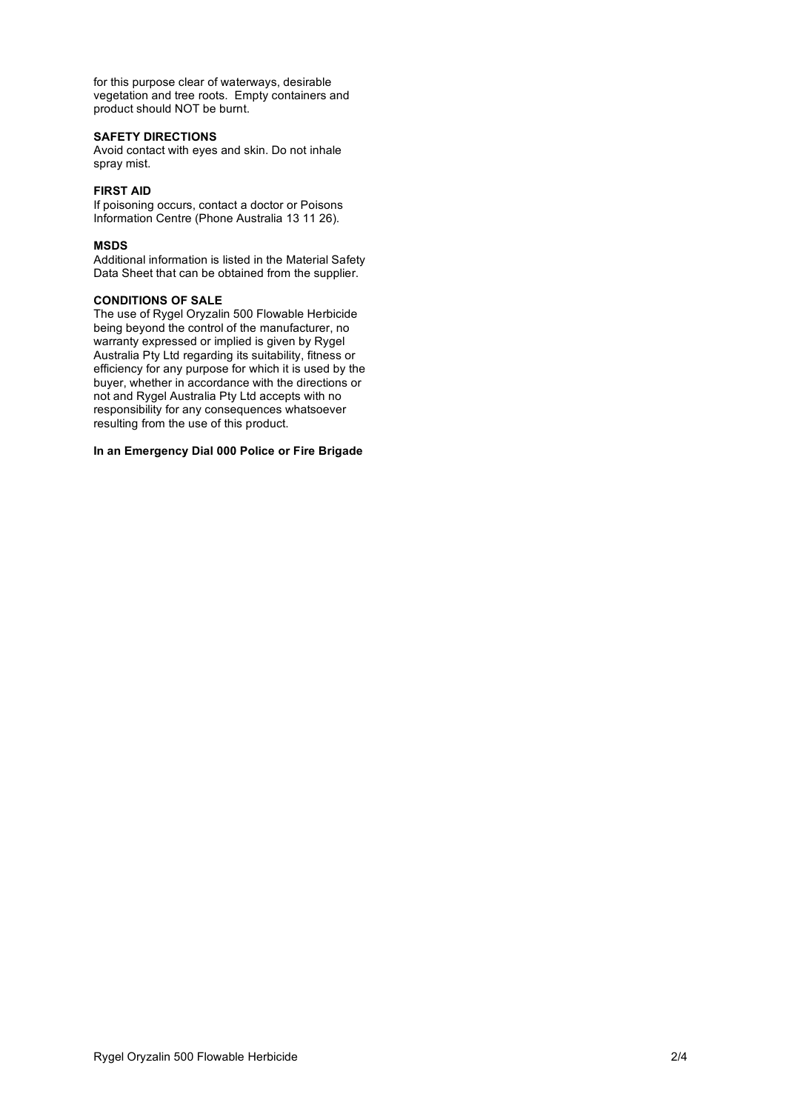for this purpose clear of waterways, desirable vegetation and tree roots. Empty containers and product should NOT be burnt.

#### **SAFETY DIRECTIONS**

Avoid contact with eyes and skin. Do not inhale spray mist.

# **FIRST AID**

If poisoning occurs, contact a doctor or Poisons Information Centre (Phone Australia 13 11 26).

#### **MSDS**

Additional information is listed in the Material Safety Data Sheet that can be obtained from the supplier.

#### **CONDITIONS OF SALE**

The use of Rygel Oryzalin 500 Flowable Herbicide being beyond the control of the manufacturer, no warranty expressed or implied is given by Rygel Australia Pty Ltd regarding its suitability, fitness or efficiency for any purpose for which it is used by the buyer, whether in accordance with the directions or not and Rygel Australia Pty Ltd accepts with no responsibility for any consequences whatsoever resulting from the use of this product.

## **In an Emergency Dial 000 Police or Fire Brigade**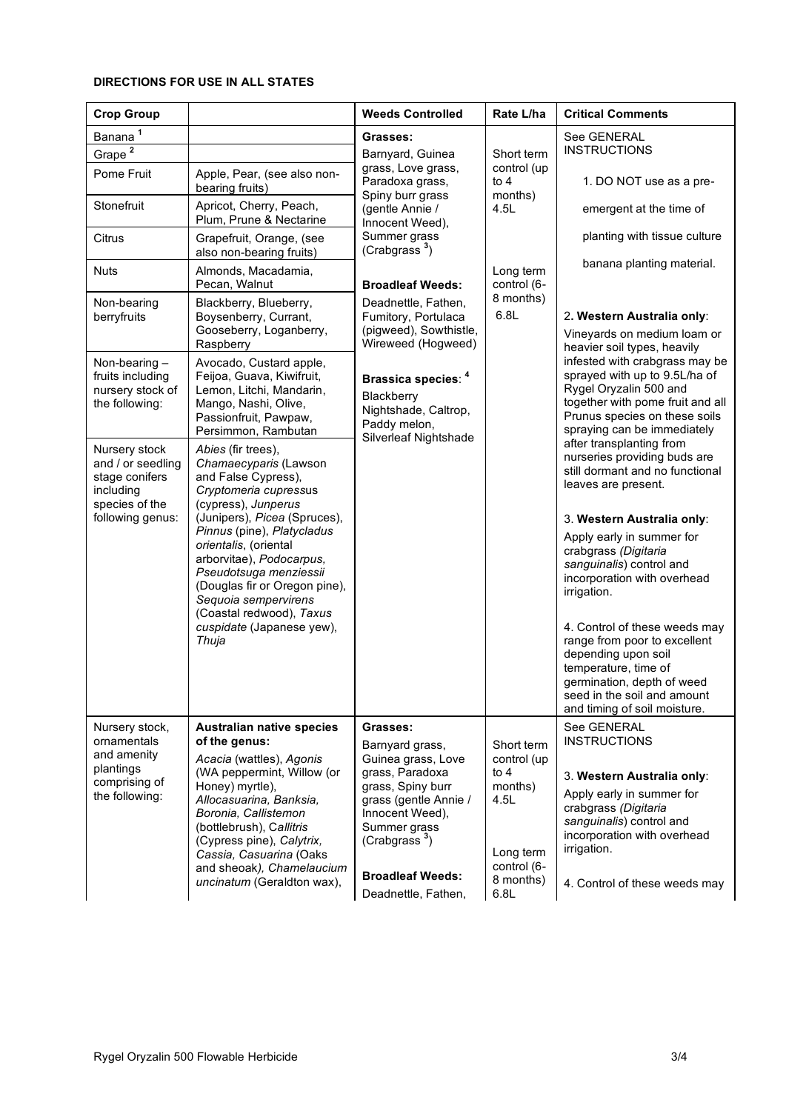# **DIRECTIONS FOR USE IN ALL STATES**

| <b>Crop Group</b>                                                                   |                                                                                                                                                                                                                                                 | <b>Weeds Controlled</b>                                                                                                                                                         | Rate L/ha                                                                  | <b>Critical Comments</b>                                                                                                                                                                                                                                                          |
|-------------------------------------------------------------------------------------|-------------------------------------------------------------------------------------------------------------------------------------------------------------------------------------------------------------------------------------------------|---------------------------------------------------------------------------------------------------------------------------------------------------------------------------------|----------------------------------------------------------------------------|-----------------------------------------------------------------------------------------------------------------------------------------------------------------------------------------------------------------------------------------------------------------------------------|
| Banana <sup>1</sup>                                                                 |                                                                                                                                                                                                                                                 | Grasses:                                                                                                                                                                        |                                                                            | See GENERAL                                                                                                                                                                                                                                                                       |
| Grape <sup>2</sup>                                                                  |                                                                                                                                                                                                                                                 | Barnyard, Guinea<br>grass, Love grass,<br>Paradoxa grass,<br>Spiny burr grass<br>(gentle Annie /<br>Innocent Weed),<br>Summer grass<br>(Crabgrass <sup>3</sup> )                | Short term<br>control (up<br>to $4$<br>months)<br>4.5L                     | <b>INSTRUCTIONS</b>                                                                                                                                                                                                                                                               |
| Pome Fruit                                                                          | Apple, Pear, (see also non-<br>bearing fruits)                                                                                                                                                                                                  |                                                                                                                                                                                 |                                                                            | 1. DO NOT use as a pre-                                                                                                                                                                                                                                                           |
| Stonefruit                                                                          | Apricot, Cherry, Peach,<br>Plum, Prune & Nectarine                                                                                                                                                                                              |                                                                                                                                                                                 |                                                                            | emergent at the time of                                                                                                                                                                                                                                                           |
| Citrus                                                                              | Grapefruit, Orange, (see<br>also non-bearing fruits)                                                                                                                                                                                            |                                                                                                                                                                                 |                                                                            | planting with tissue culture                                                                                                                                                                                                                                                      |
| <b>Nuts</b>                                                                         | Almonds, Macadamia,<br>Pecan, Walnut                                                                                                                                                                                                            | <b>Broadleaf Weeds:</b>                                                                                                                                                         | Long term<br>control (6-                                                   | banana planting material.                                                                                                                                                                                                                                                         |
| Non-bearing<br>berryfruits                                                          | Blackberry, Blueberry,<br>Boysenberry, Currant,                                                                                                                                                                                                 | Deadnettle, Fathen,<br>Fumitory, Portulaca                                                                                                                                      | 8 months)<br>6.8L                                                          | 2. Western Australia only:                                                                                                                                                                                                                                                        |
|                                                                                     | Gooseberry, Loganberry,<br>Raspberry                                                                                                                                                                                                            | (pigweed), Sowthistle,<br>Wireweed (Hogweed)                                                                                                                                    |                                                                            | Vineyards on medium loam or<br>heavier soil types, heavily<br>infested with crabgrass may be                                                                                                                                                                                      |
| Non-bearing -<br>fruits including<br>nursery stock of<br>the following:             | Avocado, Custard apple,<br>Feijoa, Guava, Kiwifruit,<br>Lemon, Litchi, Mandarin,<br>Mango, Nashi, Olive,<br>Passionfruit, Pawpaw,<br>Persimmon, Rambutan                                                                                        | Brassica species: 4<br>Blackberry<br>Nightshade, Caltrop,<br>Paddy melon,<br>Silverleaf Nightshade                                                                              |                                                                            | sprayed with up to 9.5L/ha of<br>Rygel Oryzalin 500 and<br>together with pome fruit and all<br>Prunus species on these soils<br>spraying can be immediately<br>after transplanting from<br>nurseries providing buds are<br>still dormant and no functional<br>leaves are present. |
| Nursery stock<br>and / or seedling<br>stage conifers<br>including<br>species of the | Abies (fir trees),<br>Chamaecyparis (Lawson<br>and False Cypress),<br>Cryptomeria cupressus<br>(cypress), Junperus                                                                                                                              |                                                                                                                                                                                 |                                                                            |                                                                                                                                                                                                                                                                                   |
| following genus:                                                                    | (Junipers), Picea (Spruces),                                                                                                                                                                                                                    |                                                                                                                                                                                 |                                                                            | 3. Western Australia only:                                                                                                                                                                                                                                                        |
|                                                                                     | Pinnus (pine), Platycladus<br>orientalis, (oriental<br>arborvitae), Podocarpus,<br>Pseudotsuga menziessii<br>(Douglas fir or Oregon pine),<br>Sequoia sempervirens<br>(Coastal redwood), Taxus                                                  |                                                                                                                                                                                 |                                                                            | Apply early in summer for<br>crabgrass (Digitaria<br>sanguinalis) control and<br>incorporation with overhead<br>irrigation.                                                                                                                                                       |
|                                                                                     | cuspidate (Japanese yew),<br>Thuja                                                                                                                                                                                                              |                                                                                                                                                                                 |                                                                            | 4. Control of these weeds may<br>range from poor to excellent<br>depending upon soil<br>temperature, time of<br>germination, depth of weed<br>seed in the soil and amount<br>and timing of soil moisture.                                                                         |
| Nursery stock,<br>ornamentals<br>and amenity                                        | <b>Australian native species</b><br>of the genus:<br>Acacia (wattles), Agonis                                                                                                                                                                   | Grasses:<br>Barnyard grass,<br>Guinea grass, Love                                                                                                                               | Short term<br>control (up                                                  | See GENERAL<br><b>INSTRUCTIONS</b>                                                                                                                                                                                                                                                |
| plantings<br>comprising of<br>the following:                                        | (WA peppermint, Willow (or<br>Honey) myrtle),<br>Allocasuarina, Banksia,<br>Boronia, Callistemon<br>(bottlebrush), Callitris<br>(Cypress pine), Calytrix,<br>Cassia, Casuarina (Oaks<br>and sheoak), Chamelaucium<br>uncinatum (Geraldton wax), | grass, Paradoxa<br>grass, Spiny burr<br>grass (gentle Annie /<br>Innocent Weed),<br>Summer grass<br>(Crabgrass <sup>3</sup> )<br><b>Broadleaf Weeds:</b><br>Deadnettle, Fathen, | to $4$<br>months)<br>4.5L<br>Long term<br>control (6-<br>8 months)<br>6.8L | 3. Western Australia only:<br>Apply early in summer for<br>crabgrass (Digitaria<br>sanguinalis) control and<br>incorporation with overhead<br>irrigation.<br>4. Control of these weeds may                                                                                        |